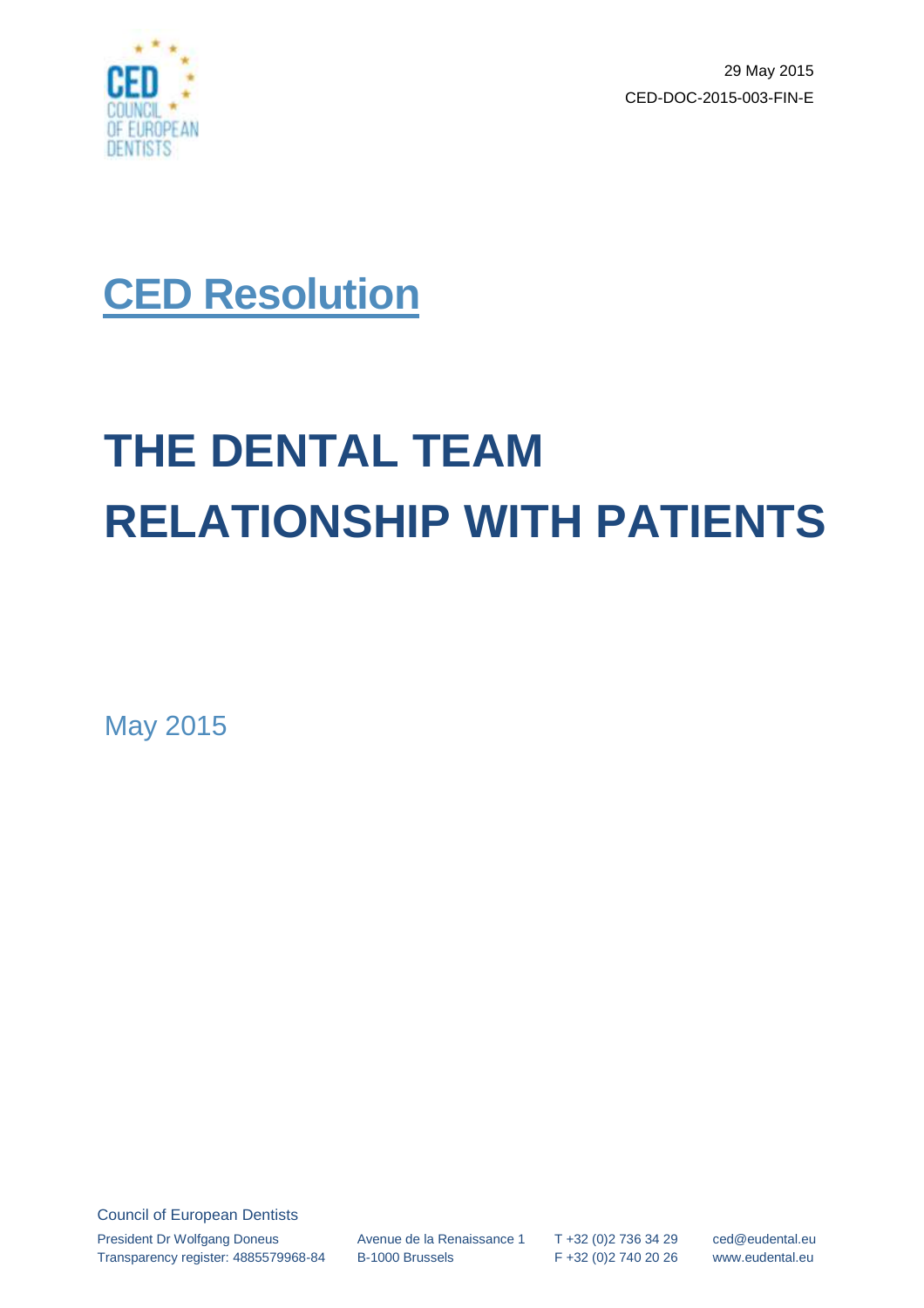

29 May 2015 CED-DOC-2015-003-FIN-E



# **THE DENTAL TEAM RELATIONSHIP WITH PATIENTS**

May 2015

Council of European Dentists President Dr Wolfgang Doneus Transparency register: 4885579968-84

Avenue de la Renaissance 1 B-1000 Brussels

T +32 (0)2 736 34 29 F +32 (0)2 740 20 26

ced@eudental.eu www.eudental.eu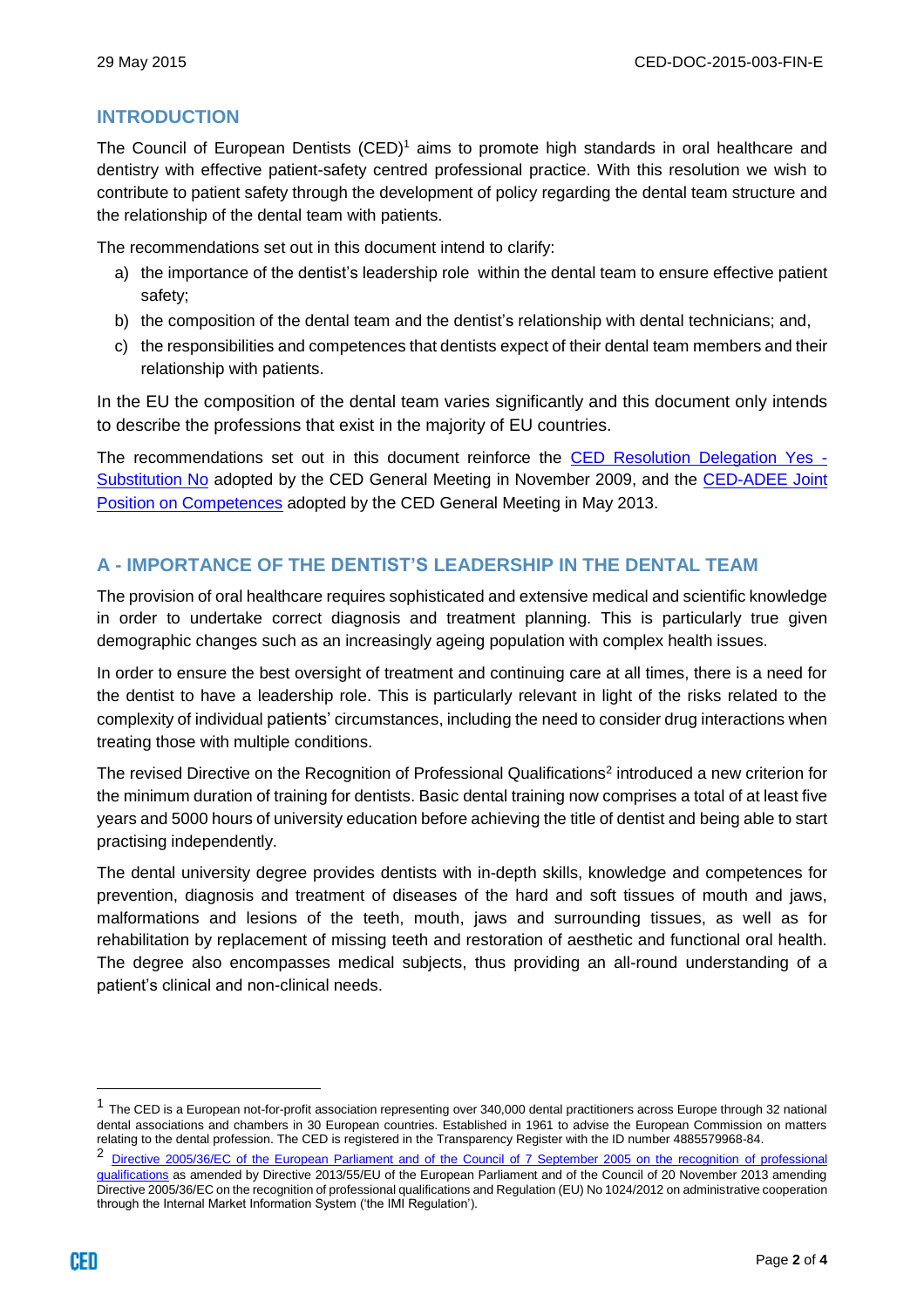# **INTRODUCTION**

The Council of European Dentists  $(CED)^1$  aims to promote high standards in oral healthcare and dentistry with effective patient-safety centred professional practice. With this resolution we wish to contribute to patient safety through the development of policy regarding the dental team structure and the relationship of the dental team with patients.

The recommendations set out in this document intend to clarify:

- a) the importance of the dentist's leadership role within the dental team to ensure effective patient safety;
- b) the composition of the dental team and the dentist's relationship with dental technicians; and,
- c) the responsibilities and competences that dentists expect of their dental team members and their relationship with patients.

In the EU the composition of the dental team varies significantly and this document only intends to describe the professions that exist in the majority of EU countries.

The recommendations set out in this document reinforce the [CED Resolution Delegation Yes -](http://www.eudental.eu/component/attachments/attachments.html?id=1638) [Substitution No](http://www.eudental.eu/component/attachments/attachments.html?id=1638) adopted by the CED General Meeting in November 2009, and the [CED-ADEE Joint](http://www.eudental.eu/component/attachments/attachments.html?id=1563)  [Position on Competences](http://www.eudental.eu/component/attachments/attachments.html?id=1563) adopted by the CED General Meeting in May 2013.

# **A - IMPORTANCE OF THE DENTIST'S LEADERSHIP IN THE DENTAL TEAM**

The provision of oral healthcare requires sophisticated and extensive medical and scientific knowledge in order to undertake correct diagnosis and treatment planning. This is particularly true given demographic changes such as an increasingly ageing population with complex health issues.

In order to ensure the best oversight of treatment and continuing care at all times, there is a need for the dentist to have a leadership role. This is particularly relevant in light of the risks related to the complexity of individual patients' circumstances, including the need to consider drug interactions when treating those with multiple conditions.

The revised Directive on the Recognition of Professional Qualifications<sup>2</sup> introduced a new criterion for the minimum duration of training for dentists. Basic dental training now comprises a total of at least five years and 5000 hours of university education before achieving the title of dentist and being able to start practising independently.

The dental university degree provides dentists with in-depth skills, knowledge and competences for prevention, diagnosis and treatment of diseases of the hard and soft tissues of mouth and jaws, malformations and lesions of the teeth, mouth, jaws and surrounding tissues, as well as for rehabilitation by replacement of missing teeth and restoration of aesthetic and functional oral health. The degree also encompasses medical subjects, thus providing an all-round understanding of a patient's clinical and non-clinical needs.

l

<sup>1</sup> The CED is a European not-for-profit association representing over 340,000 dental practitioners across Europe through 32 national dental associations and chambers in 30 European countries. Established in 1961 to advise the European Commission on matters relating to the dental profession. The CED is registered in the Transparency Register with the ID number 4885579968-84.

<sup>2</sup> [Directive 2005/36/EC of the European Parliament and of the Council of 7 September 2005 on the recognition](http://eur-lex.europa.eu/legal-content/EN/TXT/?uri=CELEX:02005L0036-20140117) of professional [qualifications](http://eur-lex.europa.eu/legal-content/EN/TXT/?uri=CELEX:02005L0036-20140117) as amended by Directive 2013/55/EU of the European Parliament and of the Council of 20 November 2013 amending Directive 2005/36/EC on the recognition of professional qualifications and Regulation (EU) No 1024/2012 on administrative cooperation through the Internal Market Information System ('the IMI Regulation').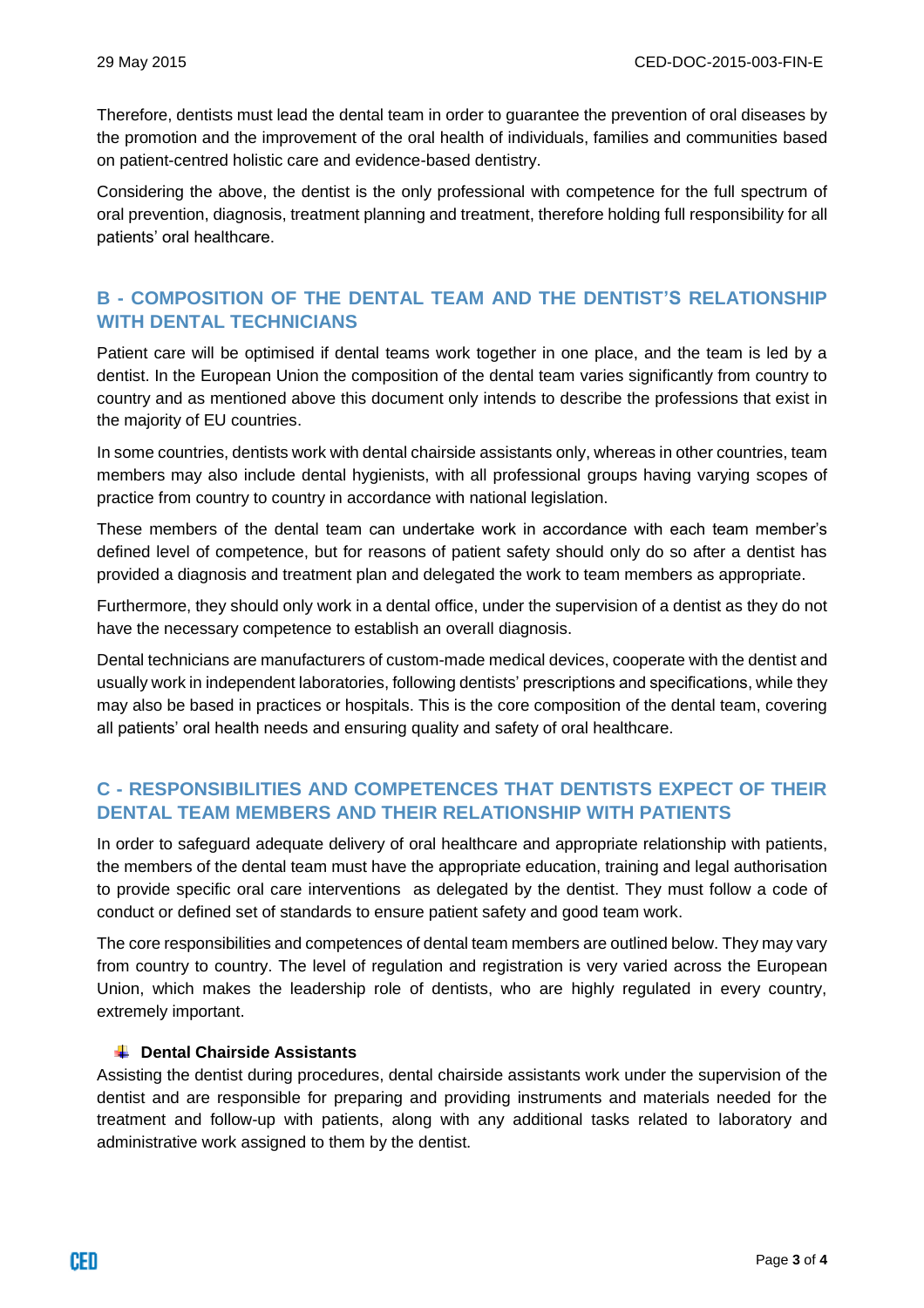Therefore, dentists must lead the dental team in order to guarantee the prevention of oral diseases by the promotion and the improvement of the oral health of individuals, families and communities based on patient-centred holistic care and evidence-based dentistry.

Considering the above, the dentist is the only professional with competence for the full spectrum of oral prevention, diagnosis, treatment planning and treatment, therefore holding full responsibility for all patients' oral healthcare.

## **B - COMPOSITION OF THE DENTAL TEAM AND THE DENTIST'S RELATIONSHIP WITH DENTAL TECHNICIANS**

Patient care will be optimised if dental teams work together in one place, and the team is led by a dentist. In the European Union the composition of the dental team varies significantly from country to country and as mentioned above this document only intends to describe the professions that exist in the majority of EU countries.

In some countries, dentists work with dental chairside assistants only, whereas in other countries, team members may also include dental hygienists, with all professional groups having varying scopes of practice from country to country in accordance with national legislation.

These members of the dental team can undertake work in accordance with each team member's defined level of competence, but for reasons of patient safety should only do so after a dentist has provided a diagnosis and treatment plan and delegated the work to team members as appropriate.

Furthermore, they should only work in a dental office, under the supervision of a dentist as they do not have the necessary competence to establish an overall diagnosis.

Dental technicians are manufacturers of custom-made medical devices, cooperate with the dentist and usually work in independent laboratories, following dentists' prescriptions and specifications, while they may also be based in practices or hospitals. This is the core composition of the dental team, covering all patients' oral health needs and ensuring quality and safety of oral healthcare.

## **C - RESPONSIBILITIES AND COMPETENCES THAT DENTISTS EXPECT OF THEIR DENTAL TEAM MEMBERS AND THEIR RELATIONSHIP WITH PATIENTS**

In order to safeguard adequate delivery of oral healthcare and appropriate relationship with patients, the members of the dental team must have the appropriate education, training and legal authorisation to provide specific oral care interventions as delegated by the dentist. They must follow a code of conduct or defined set of standards to ensure patient safety and good team work.

The core responsibilities and competences of dental team members are outlined below. They may vary from country to country. The level of regulation and registration is very varied across the European Union, which makes the leadership role of dentists, who are highly regulated in every country, extremely important.

#### **Dental Chairside Assistants**

Assisting the dentist during procedures, dental chairside assistants work under the supervision of the dentist and are responsible for preparing and providing instruments and materials needed for the treatment and follow-up with patients, along with any additional tasks related to laboratory and administrative work assigned to them by the dentist.